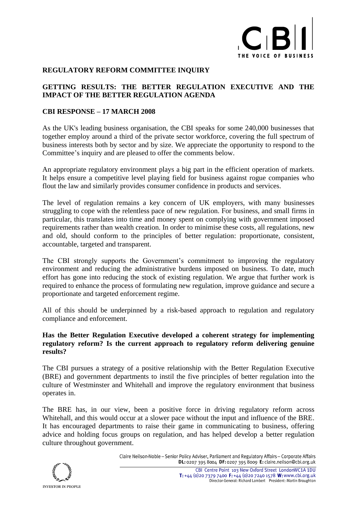

## **REGULATORY REFORM COMMITTEE INQUIRY**

# **GETTING RESULTS: THE BETTER REGULATION EXECUTIVE AND THE IMPACT OF THE BETTER REGULATION AGENDA**

### **CBI RESPONSE – 17 MARCH 2008**

As the UK's leading business organisation, the CBI speaks for some 240,000 businesses that together employ around a third of the private sector workforce, covering the full spectrum of business interests both by sector and by size. We appreciate the opportunity to respond to the Committee's inquiry and are pleased to offer the comments below.

An appropriate regulatory environment plays a big part in the efficient operation of markets. It helps ensure a competitive level playing field for business against rogue companies who flout the law and similarly provides consumer confidence in products and services.

The level of regulation remains a key concern of UK employers, with many businesses struggling to cope with the relentless pace of new regulation. For business, and small firms in particular, this translates into time and money spent on complying with government imposed requirements rather than wealth creation. In order to minimise these costs, all regulations, new and old, should conform to the principles of better regulation: proportionate, consistent, accountable, targeted and transparent.

The CBI strongly supports the Government's commitment to improving the regulatory environment and reducing the administrative burdens imposed on business. To date, much effort has gone into reducing the stock of existing regulation. We argue that further work is required to enhance the process of formulating new regulation, improve guidance and secure a proportionate and targeted enforcement regime.

All of this should be underpinned by a risk-based approach to regulation and regulatory compliance and enforcement.

### **Has the Better Regulation Executive developed a coherent strategy for implementing regulatory reform? Is the current approach to regulatory reform delivering genuine results?**

The CBI pursues a strategy of a positive relationship with the Better Regulation Executive (BRE) and government departments to instil the five principles of better regulation into the culture of Westminster and Whitehall and improve the regulatory environment that business operates in.

The BRE has, in our view, been a positive force in driving regulatory reform across Whitehall, and this would occur at a slower pace without the input and influence of the BRE. It has encouraged departments to raise their game in communicating to business, offering advice and holding focus groups on regulation, and has helped develop a better regulation culture throughout government.

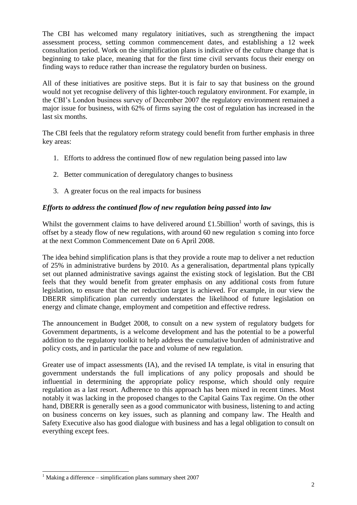The CBI has welcomed many regulatory initiatives, such as strengthening the impact assessment process, setting common commencement dates, and establishing a 12 week consultation period. Work on the simplification plans is indicative of the culture change that is beginning to take place, meaning that for the first time civil servants focus their energy on finding ways to reduce rather than increase the regulatory burden on business.

All of these initiatives are positive steps. But it is fair to say that business on the ground would not yet recognise delivery of this lighter-touch regulatory environment. For example, in the CBI's London business survey of December 2007 the regulatory environment remained a major issue for business, with 62% of firms saying the cost of regulation has increased in the last six months.

The CBI feels that the regulatory reform strategy could benefit from further emphasis in three key areas:

- 1. Efforts to address the continued flow of new regulation being passed into law
- 2. Better communication of deregulatory changes to business
- 3. A greater focus on the real impacts for business

# *Efforts to address the continued flow of new regulation being passed into law*

Whilst the government claims to have delivered around  $£1.5$ billion<sup>1</sup> worth of savings, this is offset by a steady flow of new regulations, with around 60 new regulation s coming into force at the next Common Commencement Date on 6 April 2008.

The idea behind simplification plans is that they provide a route map to deliver a net reduction of 25% in administrative burdens by 2010. As a generalisation, departmental plans typically set out planned administrative savings against the existing stock of legislation. But the CBI feels that they would benefit from greater emphasis on any additional costs from future legislation, to ensure that the net reduction target is achieved. For example, in our view the DBERR simplification plan currently understates the likelihood of future legislation on energy and climate change, employment and competition and effective redress.

The announcement in Budget 2008, to consult on a new system of regulatory budgets for Government departments, is a welcome development and has the potential to be a powerful addition to the regulatory toolkit to help address the cumulative burden of administrative and policy costs, and in particular the pace and volume of new regulation.

Greater use of impact assessments (IA), and the revised IA template, is vital in ensuring that government understands the full implications of any policy proposals and should be influential in determining the appropriate policy response, which should only require regulation as a last resort. Adherence to this approach has been mixed in recent times. Most notably it was lacking in the proposed changes to the Capital Gains Tax regime. On the other hand, DBERR is generally seen as a good communicator with business, listening to and acting on business concerns on key issues, such as planning and company law. The Health and Safety Executive also has good dialogue with business and has a legal obligation to consult on everything except fees.

1

<sup>&</sup>lt;sup>1</sup> Making a difference – simplification plans summary sheet 2007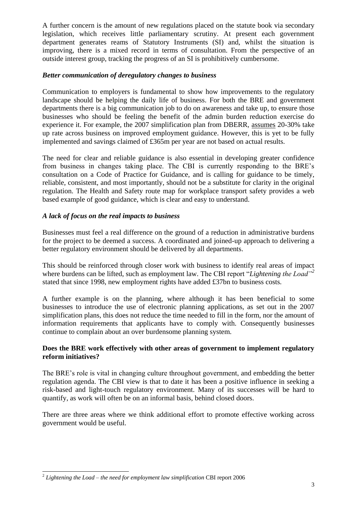A further concern is the amount of new regulations placed on the statute book via secondary legislation, which receives little parliamentary scrutiny. At present each government department generates reams of Statutory Instruments (SI) and, whilst the situation is improving, there is a mixed record in terms of consultation. From the perspective of an outside interest group, tracking the progress of an SI is prohibitively cumbersome.

# *Better communication of deregulatory changes to business*

Communication to employers is fundamental to show how improvements to the regulatory landscape should be helping the daily life of business. For both the BRE and government departments there is a big communication job to do on awareness and take up, to ensure those businesses who should be feeling the benefit of the admin burden reduction exercise do experience it. For example, the 2007 simplification plan from DBERR, assumes 20-30% take up rate across business on improved employment guidance. However, this is yet to be fully implemented and savings claimed of £365m per year are not based on actual results.

The need for clear and reliable guidance is also essential in developing greater confidence from business in changes taking place. The CBI is currently responding to the BRE's consultation on a Code of Practice for Guidance, and is calling for guidance to be timely, reliable, consistent, and most importantly, should not be a substitute for clarity in the original regulation. The Health and Safety route map for workplace transport safety provides a web based example of good guidance, which is clear and easy to understand.

## *A lack of focus on the real impacts to business*

Businesses must feel a real difference on the ground of a reduction in administrative burdens for the project to be deemed a success. A coordinated and joined-up approach to delivering a better regulatory environment should be delivered by all departments.

This should be reinforced through closer work with business to identify real areas of impact where burdens can be lifted, such as employment law. The CBI report "*Lightening the Load"<sup>2</sup>* stated that since 1998, new employment rights have added £37bn to business costs*.*

A further example is on the planning, where although it has been beneficial to some businesses to introduce the use of electronic planning applications, as set out in the 2007 simplification plans, this does not reduce the time needed to fill in the form, nor the amount of information requirements that applicants have to comply with. Consequently businesses continue to complain about an over burdensome planning system.

## **Does the BRE work effectively with other areas of government to implement regulatory reform initiatives?**

The BRE's role is vital in changing culture throughout government, and embedding the better regulation agenda. The CBI view is that to date it has been a positive influence in seeking a risk-based and light-touch regulatory environment. Many of its successes will be hard to quantify, as work will often be on an informal basis, behind closed doors.

There are three areas where we think additional effort to promote effective working across government would be useful.

1

<sup>2</sup> *Lightening the Load – the need for employment law simplification* CBI report 2006